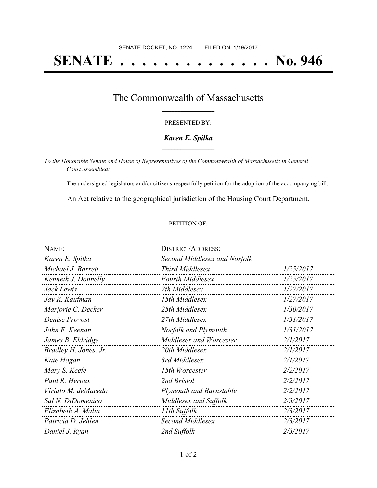# **SENATE . . . . . . . . . . . . . . No. 946**

## The Commonwealth of Massachusetts **\_\_\_\_\_\_\_\_\_\_\_\_\_\_\_\_\_**

#### PRESENTED BY:

#### *Karen E. Spilka* **\_\_\_\_\_\_\_\_\_\_\_\_\_\_\_\_\_**

*To the Honorable Senate and House of Representatives of the Commonwealth of Massachusetts in General Court assembled:*

The undersigned legislators and/or citizens respectfully petition for the adoption of the accompanying bill:

An Act relative to the geographical jurisdiction of the Housing Court Department. **\_\_\_\_\_\_\_\_\_\_\_\_\_\_\_**

#### PETITION OF:

| NAME:                 | <b>DISTRICT/ADDRESS:</b>       |           |
|-----------------------|--------------------------------|-----------|
| Karen E. Spilka       | Second Middlesex and Norfolk   |           |
| Michael J. Barrett    | Third Middlesex                | 1/25/2017 |
| Kenneth J. Donnelly   | <b>Fourth Middlesex</b>        | 1/25/2017 |
| Jack Lewis            | 7th Middlesex                  | 1/27/2017 |
| Jay R. Kaufman        | 15th Middlesex                 | 1/27/2017 |
| Marjorie C. Decker    | 25th Middlesex                 | 1/30/2017 |
| Denise Provost        | 27th Middlesex                 | 1/31/2017 |
| John F. Keenan        | Norfolk and Plymouth           | 1/31/2017 |
| James B. Eldridge     | Middlesex and Worcester        | 2/1/2017  |
| Bradley H. Jones, Jr. | 20th Middlesex                 | 2/1/2017  |
| Kate Hogan            | 3rd Middlesex                  | 2/1/2017  |
| Mary S. Keefe         | 15th Worcester                 | 2/2/2017  |
| Paul R. Heroux        | 2nd Bristol                    | 2/2/2017  |
| Viriato M. deMacedo   | <b>Plymouth and Barnstable</b> | 2/2/2017  |
| Sal N. DiDomenico     | Middlesex and Suffolk          | 2/3/2017  |
| Elizabeth A. Malia    | 11th Suffolk                   | 2/3/2017  |
| Patricia D. Jehlen    | <b>Second Middlesex</b>        | 2/3/2017  |
| Daniel J. Ryan        | 2nd Suffolk                    | 2/3/2017  |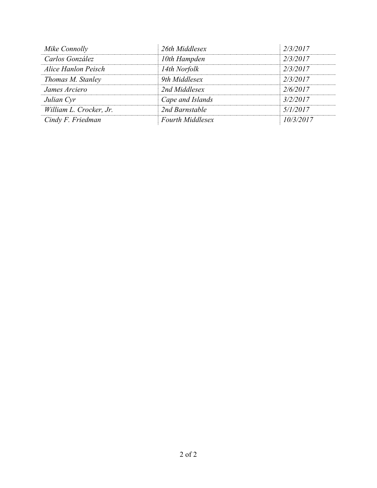| Mike Connolly           | 26th Middlesex          | 2/3/2017  |
|-------------------------|-------------------------|-----------|
| Carlos González         | 10th Hampden            | 2/3/2017  |
| Alice Hanlon Peisch     | 14th Norfolk            | 2/3/2017  |
| Thomas M. Stanley       | 9th Middlesex           | 2/3/2017  |
| James Arciero           | 2nd Middlesex           | 2/6/2017  |
| Julian Cyr              | Cape and Islands        | 3/2/2017  |
| William L. Crocker, Jr. | 2nd Barnstable          | 5/1/2017  |
| Cindy F. Friedman       | <b>Fourth Middlesex</b> | 10/3/2017 |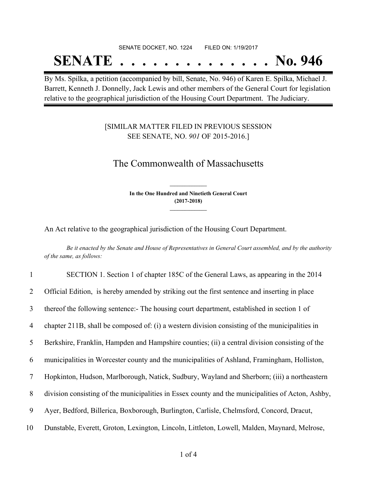# SENATE DOCKET, NO. 1224 FILED ON: 1/19/2017 **SENATE . . . . . . . . . . . . . . No. 946**

By Ms. Spilka, a petition (accompanied by bill, Senate, No. 946) of Karen E. Spilka, Michael J. Barrett, Kenneth J. Donnelly, Jack Lewis and other members of the General Court for legislation relative to the geographical jurisdiction of the Housing Court Department. The Judiciary.

### [SIMILAR MATTER FILED IN PREVIOUS SESSION SEE SENATE, NO. *901* OF 2015-2016.]

# The Commonwealth of Massachusetts

**In the One Hundred and Ninetieth General Court (2017-2018) \_\_\_\_\_\_\_\_\_\_\_\_\_\_\_**

**\_\_\_\_\_\_\_\_\_\_\_\_\_\_\_**

An Act relative to the geographical jurisdiction of the Housing Court Department.

Be it enacted by the Senate and House of Representatives in General Court assembled, and by the authority *of the same, as follows:*

| 1  | SECTION 1. Section 1 of chapter 185C of the General Laws, as appearing in the 2014                |
|----|---------------------------------------------------------------------------------------------------|
| 2  | Official Edition, is hereby amended by striking out the first sentence and inserting in place     |
| 3  | thereof the following sentence:- The housing court department, established in section 1 of        |
| 4  | chapter 211B, shall be composed of: (i) a western division consisting of the municipalities in    |
| 5  | Berkshire, Franklin, Hampden and Hampshire counties; (ii) a central division consisting of the    |
| 6  | municipalities in Worcester county and the municipalities of Ashland, Framingham, Holliston,      |
| 7  | Hopkinton, Hudson, Marlborough, Natick, Sudbury, Wayland and Sherborn; (iii) a northeastern       |
| 8  | division consisting of the municipalities in Essex county and the municipalities of Acton, Ashby, |
| 9  | Ayer, Bedford, Billerica, Boxborough, Burlington, Carlisle, Chelmsford, Concord, Dracut,          |
| 10 | Dunstable, Everett, Groton, Lexington, Lincoln, Littleton, Lowell, Malden, Maynard, Melrose,      |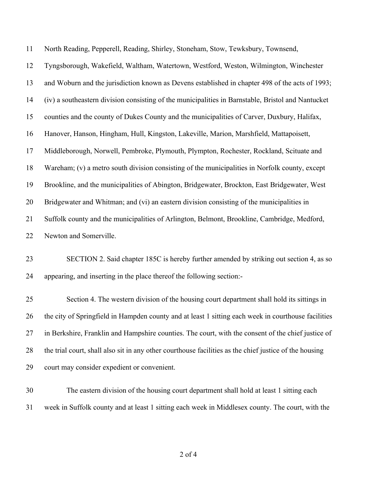| 11 | North Reading, Pepperell, Reading, Shirley, Stoneham, Stow, Tewksbury, Townsend,                       |
|----|--------------------------------------------------------------------------------------------------------|
| 12 | Tyngsborough, Wakefield, Waltham, Watertown, Westford, Weston, Wilmington, Winchester                  |
| 13 | and Woburn and the jurisdiction known as Devens established in chapter 498 of the acts of 1993;        |
| 14 | (iv) a southeastern division consisting of the municipalities in Barnstable, Bristol and Nantucket     |
| 15 | counties and the county of Dukes County and the municipalities of Carver, Duxbury, Halifax,            |
| 16 | Hanover, Hanson, Hingham, Hull, Kingston, Lakeville, Marion, Marshfield, Mattapoisett,                 |
| 17 | Middleborough, Norwell, Pembroke, Plymouth, Plympton, Rochester, Rockland, Scituate and                |
| 18 | Wareham; (v) a metro south division consisting of the municipalities in Norfolk county, except         |
| 19 | Brookline, and the municipalities of Abington, Bridgewater, Brockton, East Bridgewater, West           |
| 20 | Bridgewater and Whitman; and (vi) an eastern division consisting of the municipalities in              |
| 21 | Suffolk county and the municipalities of Arlington, Belmont, Brookline, Cambridge, Medford,            |
| 22 | Newton and Somerville.                                                                                 |
| 23 | SECTION 2. Said chapter 185C is hereby further amended by striking out section 4, as so                |
| 24 | appearing, and inserting in the place thereof the following section:-                                  |
| 25 | Section 4. The western division of the housing court department shall hold its sittings in             |
| 26 | the city of Springfield in Hampden county and at least 1 sitting each week in courthouse facilities    |
| 27 | in Berkshire, Franklin and Hampshire counties. The court, with the consent of the chief justice of     |
| 28 | the trial court, shall also sit in any other courthouse facilities as the chief justice of the housing |
| 29 | court may consider expedient or convenient.                                                            |
| 30 | The eastern division of the housing court department shall hold at least 1 sitting each                |
| 31 | week in Suffolk county and at least 1 sitting each week in Middlesex county. The court, with the       |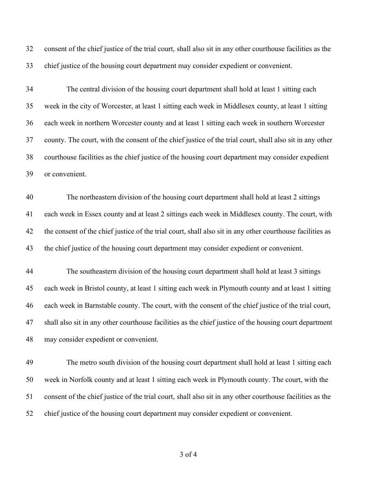consent of the chief justice of the trial court, shall also sit in any other courthouse facilities as the chief justice of the housing court department may consider expedient or convenient.

 The central division of the housing court department shall hold at least 1 sitting each week in the city of Worcester, at least 1 sitting each week in Middlesex county, at least 1 sitting each week in northern Worcester county and at least 1 sitting each week in southern Worcester county. The court, with the consent of the chief justice of the trial court, shall also sit in any other courthouse facilities as the chief justice of the housing court department may consider expedient or convenient.

 The northeastern division of the housing court department shall hold at least 2 sittings each week in Essex county and at least 2 sittings each week in Middlesex county. The court, with the consent of the chief justice of the trial court, shall also sit in any other courthouse facilities as the chief justice of the housing court department may consider expedient or convenient.

 The southeastern division of the housing court department shall hold at least 3 sittings each week in Bristol county, at least 1 sitting each week in Plymouth county and at least 1 sitting each week in Barnstable county. The court, with the consent of the chief justice of the trial court, shall also sit in any other courthouse facilities as the chief justice of the housing court department may consider expedient or convenient.

 The metro south division of the housing court department shall hold at least 1 sitting each week in Norfolk county and at least 1 sitting each week in Plymouth county. The court, with the consent of the chief justice of the trial court, shall also sit in any other courthouse facilities as the chief justice of the housing court department may consider expedient or convenient.

of 4